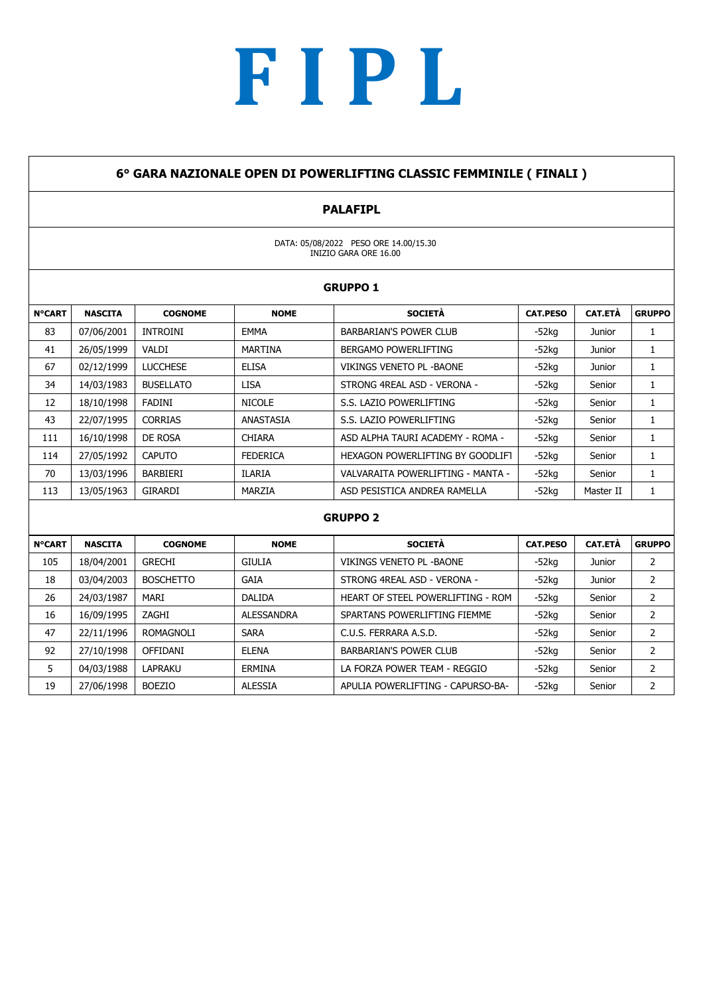#### 6° GARA NAZIONALE OPEN DI POWERLIFTING CLASSIC FEMMINILE ( FINALI )

### PALAFIPL

DATA: 05/08/2022 PESO ORE 14.00/15.30 INIZIO GARA ORE 16.00

|               |                |                  |                   | <b>GRUPPO 1</b>                   |                 |                |                |
|---------------|----------------|------------------|-------------------|-----------------------------------|-----------------|----------------|----------------|
| <b>N°CART</b> | <b>NASCITA</b> | <b>COGNOME</b>   | <b>NOME</b>       | <b>SOCIETÀ</b>                    | <b>CAT.PESO</b> | <b>CAT.ETÀ</b> | <b>GRUPPO</b>  |
| 83            | 07/06/2001     | <b>INTROINI</b>  | <b>EMMA</b>       | <b>BARBARIAN'S POWER CLUB</b>     | $-52ka$         | Junior         | 1              |
| 41            | 26/05/1999     | VALDI            | <b>MARTINA</b>    | BERGAMO POWERLIFTING              | $-52$ kg        | Junior         | 1              |
| 67            | 02/12/1999     | <b>LUCCHESE</b>  | <b>ELISA</b>      | <b>VIKINGS VENETO PL - BAONE</b>  | -52ka           | Junior         | $\mathbf{1}$   |
| 34            | 14/03/1983     | <b>BUSELLATO</b> | <b>LISA</b>       | STRONG 4REAL ASD - VERONA -       | -52ka           | Senior         | $\mathbf{1}$   |
| 12            | 18/10/1998     | <b>FADINI</b>    | <b>NICOLE</b>     | S.S. LAZIO POWERLIFTING           | -52ka           | Senior         | $\mathbf{1}$   |
| 43            | 22/07/1995     | <b>CORRIAS</b>   | ANASTASIA         | S.S. LAZIO POWERLIFTING           | $-52$ kg        | Senior         | $\mathbf{1}$   |
| 111           | 16/10/1998     | DE ROSA          | <b>CHIARA</b>     | ASD ALPHA TAURI ACADEMY - ROMA -  | -52ka           | Senior         | $\mathbf{1}$   |
| 114           | 27/05/1992     | <b>CAPUTO</b>    | <b>FEDERICA</b>   | HEXAGON POWERLIFTING BY GOODLIFT  | $-52$ kg        | Senior         | $\mathbf{1}$   |
| 70            | 13/03/1996     | BARBIERI         | <b>ILARIA</b>     | VALVARAITA POWERLIFTING - MANTA - | $-52ka$         | Senior         | $\mathbf{1}$   |
| 113           | 13/05/1963     | GIRARDI          | MARZIA            | ASD PESISTICA ANDREA RAMELLA      | $-52$ kg        | Master II      | 1              |
|               |                |                  |                   | <b>GRUPPO 2</b>                   |                 |                |                |
| <b>N°CART</b> | <b>NASCITA</b> | <b>COGNOME</b>   | <b>NOME</b>       | <b>SOCIETÀ</b>                    | <b>CAT.PESO</b> | CAT.ETÀ        | <b>GRUPPO</b>  |
| 105           | 18/04/2001     | <b>GRECHI</b>    | <b>GIULIA</b>     | VIKINGS VENETO PL - BAONE         | $-52$ kg        | Junior         | $\overline{2}$ |
| 18            | 03/04/2003     | <b>BOSCHETTO</b> | <b>GAIA</b>       | STRONG 4REAL ASD - VERONA -       | -52ka           | <b>Junior</b>  | $\overline{2}$ |
| 26            | 24/03/1987     | MARI             | <b>DALIDA</b>     | HEART OF STEEL POWERLIFTING - ROM | $-52$ kg        | Senior         | $\overline{2}$ |
| 16            | 16/09/1995     | ZAGHI            | <b>ALESSANDRA</b> | SPARTANS POWERLIFTING FIEMME      | $-52$ kg        | Senior         | $\overline{2}$ |
| 47            | 22/11/1996     | ROMAGNOLI        | <b>SARA</b>       | C.U.S. FERRARA A.S.D.             | $-52$ kg        | Senior         | $\overline{2}$ |
| 92            | 27/10/1998     | <b>OFFIDANI</b>  | <b>ELENA</b>      | <b>BARBARIAN'S POWER CLUB</b>     | $-52$ kg        | Senior         | $\overline{2}$ |
| 5             | 04/03/1988     | <b>LAPRAKU</b>   | <b>ERMINA</b>     | LA FORZA POWER TEAM - REGGIO      | -52kg           | Senior         | $\overline{2}$ |
| 19            | 27/06/1998     | <b>BOEZIO</b>    | <b>ALESSIA</b>    | APULIA POWERLIFTING - CAPURSO-BA- | -52ka           | Senior         | $\overline{2}$ |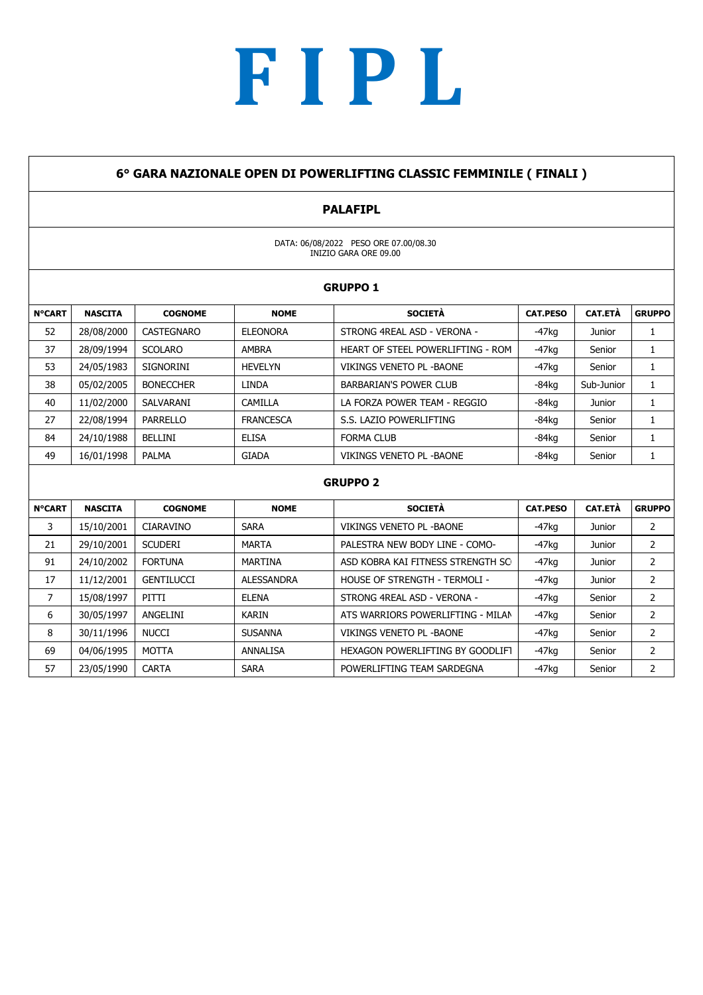#### 6° GARA NAZIONALE OPEN DI POWERLIFTING CLASSIC FEMMINILE ( FINALI )

### PALAFIPL

DATA: 06/08/2022 PESO ORE 07.00/08.30 INIZIO GARA ORE 09.00

|               |                |                   |                  | <b>GRUPPO 1</b>                   |                 |                |               |
|---------------|----------------|-------------------|------------------|-----------------------------------|-----------------|----------------|---------------|
| <b>N°CART</b> | <b>NASCITA</b> | <b>COGNOME</b>    | <b>NOME</b>      | <b>SOCIETÀ</b>                    | <b>CAT.PESO</b> | <b>CAT.ETÀ</b> | <b>GRUPPO</b> |
| 52            | 28/08/2000     | <b>CASTEGNARO</b> | <b>ELEONORA</b>  | STRONG 4REAL ASD - VERONA -       | $-47$ kg        | Junior         |               |
| 37            | 28/09/1994     | <b>SCOLARO</b>    | <b>AMBRA</b>     | HEART OF STEEL POWERLIFTING - ROM | $-47$ kg        | Senior         |               |
| 53            | 24/05/1983     | <b>SIGNORINI</b>  | HEVELYN          | VIKINGS VENETO PL - BAONE         | $-47$ kg        | Senior         |               |
| 38            | 05/02/2005     | <b>BONECCHER</b>  | <b>LINDA</b>     | <b>BARBARIAN'S POWER CLUB</b>     | $-84kq$         | Sub-Junior     |               |
| 40            | 11/02/2000     | SALVARANI         | CAMILLA          | LA FORZA POWER TEAM - REGGIO      | $-84kq$         | Junior         |               |
| 27            | 22/08/1994     | PARRELLO          | <b>FRANCESCA</b> | S.S. LAZIO POWERLIFTING           | $-84kg$         | Senior         |               |
| 84            | 24/10/1988     | <b>BELLINI</b>    | <b>ELISA</b>     | <b>FORMA CLUB</b>                 | $-84kq$         | Senior         |               |
| 49            | 16/01/1998     | <b>PALMA</b>      | <b>GIADA</b>     | VIKINGS VENETO PL - BAONE         | $-84kq$         | Senior         |               |

| <b>N°CART</b> | <b>NASCITA</b> | <b>COGNOME</b>    | <b>NOME</b>     | <b>SOCIETÀ</b>                    | <b>CAT.PESO</b> | <b>CAT.ETÀ</b> | <b>GRUPPO</b> |
|---------------|----------------|-------------------|-----------------|-----------------------------------|-----------------|----------------|---------------|
| 3             | 15/10/2001     | <b>CIARAVINO</b>  | <b>SARA</b>     | VIKINGS VENETO PL - BAONE         | $-47$ kg        | Junior         | ∠             |
| 21            | 29/10/2001     | <b>SCUDERI</b>    | <b>MARTA</b>    | PALESTRA NEW BODY LINE - COMO-    | $-47$ kg        | Junior         | ے             |
| 91            | 24/10/2002     | <b>FORTUNA</b>    | MARTINA         | ASD KOBRA KAI FITNESS STRENGTH SO | -47ka           | Junior         |               |
| 17            | 11/12/2001     | <b>GENTILUCCI</b> | ALESSANDRA      | HOUSE OF STRENGTH - TERMOLI -     | $-47$ kg        | Junior         |               |
|               | 15/08/1997     | PITTI             | ELENA           | STRONG 4REAL ASD - VERONA -       | $-47$ kg        | Senior         |               |
| 6             | 30/05/1997     | ANGELINI          | <b>KARIN</b>    | ATS WARRIORS POWERLIFTING - MILAN | -47ka           | Senior         |               |
| 8             | 30/11/1996     | <b>NUCCI</b>      | <b>SUSANNA</b>  | VIKINGS VENETO PL - BAONE         | $-47$ kg        | Senior         |               |
| 69            | 04/06/1995     | <b>MOTTA</b>      | <b>ANNALISA</b> | HEXAGON POWERLIFTING BY GOODLIFT  | $-47$ kg        | Senior         |               |
| 57            | 23/05/1990     | <b>CARTA</b>      | <b>SARA</b>     | POWERLIFTING TEAM SARDEGNA        | -47kg           | Senior         |               |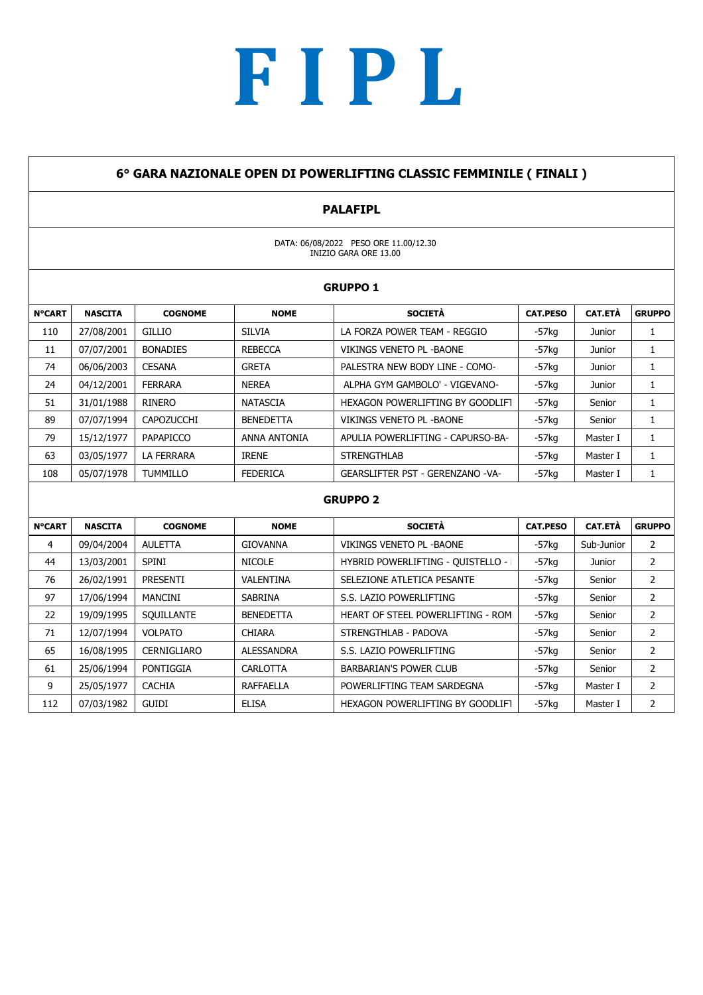### 6° GARA NAZIONALE OPEN DI POWERLIFTING CLASSIC FEMMINILE ( FINALI )

### PALAFIPL

DATA: 06/08/2022 PESO ORE 11.00/12.30 INIZIO GARA ORE 13.00

|               |                |                   |                  | <b>GRUPPO 1</b>                         |                 |                |               |
|---------------|----------------|-------------------|------------------|-----------------------------------------|-----------------|----------------|---------------|
| <b>N°CART</b> | <b>NASCITA</b> | <b>COGNOME</b>    | <b>NOME</b>      | <b>SOCIETÀ</b>                          | <b>CAT.PESO</b> | <b>CAT.ETÀ</b> | <b>GRUPPO</b> |
| 110           | 27/08/2001     | <b>GILLIO</b>     | <b>SILVIA</b>    | LA FORZA POWER TEAM - REGGIO            | -57ka           | Junior         |               |
| 11            | 07/07/2001     | <b>BONADIES</b>   | <b>REBECCA</b>   | VIKINGS VENETO PL - BAONE               | $-57$ kg        | Junior         |               |
| 74            | 06/06/2003     | <b>CESANA</b>     | <b>GRETA</b>     | PALESTRA NEW BODY LINE - COMO-          | $-57$ kg        | Junior         |               |
| 24            | 04/12/2001     | <b>FERRARA</b>    | <b>NEREA</b>     | ALPHA GYM GAMBOLO' - VIGEVANO-          | $-57$ kg        | Junior         |               |
| 51            | 31/01/1988     | RINERO            | NATASCIA         | HEXAGON POWERLIFTING BY GOODLIFT        | $-57$ kg        | Senior         |               |
| 89            | 07/07/1994     | <b>CAPOZUCCHI</b> | <b>BENEDETTA</b> | VIKINGS VENETO PL - BAONE               | $-57$ kg        | Senior         |               |
| 79            | 15/12/1977     | PAPAPICCO         | ANNA ANTONIA     | APULIA POWERLIFTING - CAPURSO-BA-       | $-57$ kg        | Master I       |               |
| 63            | 03/05/1977     | LA FERRARA        | <b>IRENE</b>     | <b>STRENGTHLAB</b>                      | $-57$ kg        | Master I       |               |
| 108           | 05/07/1978     | <b>TUMMILLO</b>   | <b>FEDERICA</b>  | <b>GEARSLIFTER PST - GERENZANO -VA-</b> | $-57$ kg        | Master I       |               |

### GRUPPO 2 N°CART | NASCITA | COGNOME | NOME | SOCIETA | CAT.PESO | CAT.ETA |GRUPPO| 4 09/04/2004 AULETTA GIOVANNA VIKINGS VENETO PL -BAONE - 57kg Sub-Junior 2 44 | 13/03/2001 | SPINI | NICOLE | HYBRID POWERLIFTING - QUISTELLO - | | -57kg | Junior | 2 76 26/02/1991 PRESENTI VALENTINA SELEZIONE ATLETICA PESANTE | -57kg Senior | 2 97 | 17/06/1994 | MANCINI | SABRINA | S.S. LAZIO POWERLIFTING | -57kg | Senior | 2 22 | 19/09/1995 | SQUILLANTE | BENEDETTA | HEART OF STEEL POWERLIFTING - ROM | -57kg | Senior | 2 71 | 12/07/1994 | VOLPATO | CHIARA | STRENGTHLAB - PADOVA | -57kg | Senior | 2 65 | 16/08/1995 | CERNIGLIARO | ALESSANDRA | S.S. LAZIO POWERLIFTING | -57kg | Senior | 2 61 25/06/1994 PONTIGGIA | CARLOTTA | BARBARIAN'S POWER CLUB | -57kg | Senior | 2 9 25/05/1977 | CACHIA | RAFFAELLA | POWERLIFTING TEAM SARDEGNA | -57kg | Master I | 2 112 07/03/1982 GUIDI ELISA HEXAGON POWERLIFTING BY GOODLIFT - MIL-5A7NkOg- Master I 2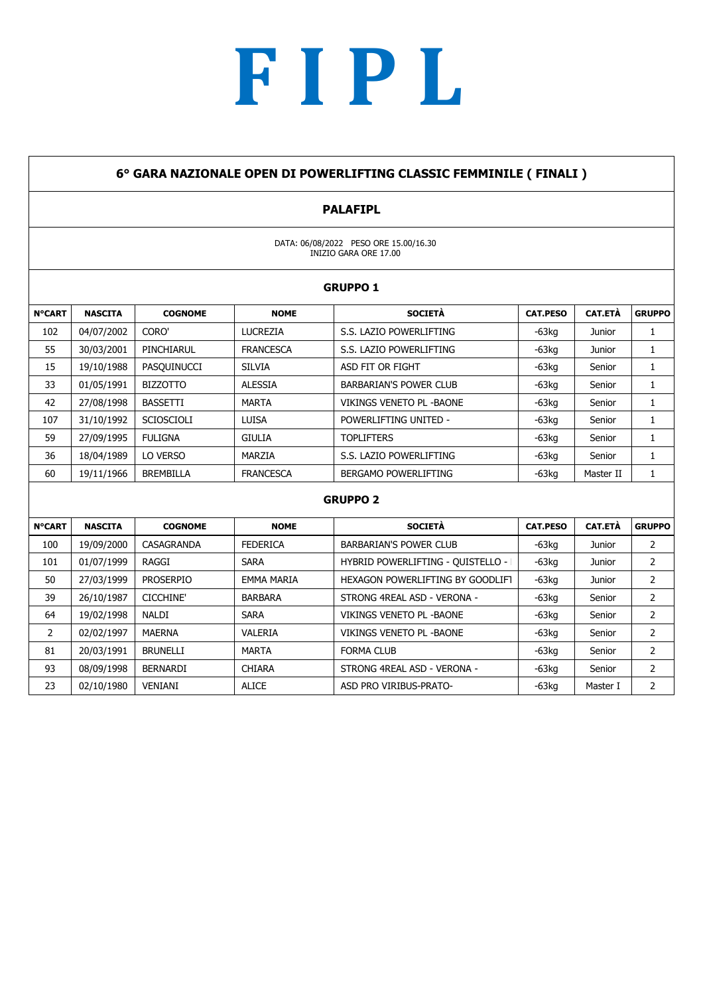#### 6° GARA NAZIONALE OPEN DI POWERLIFTING CLASSIC FEMMINILE ( FINALI )

### PALAFIPL

DATA: 06/08/2022 PESO ORE 15.00/16.30 INIZIO GARA ORE 17.00

|               | <b>GRUPPO 1</b> |                   |                  |                                 |                 |                |               |  |
|---------------|-----------------|-------------------|------------------|---------------------------------|-----------------|----------------|---------------|--|
| <b>N°CART</b> | <b>NASCITA</b>  | <b>COGNOME</b>    | <b>NOME</b>      | <b>SOCIETÀ</b>                  | <b>CAT.PESO</b> | <b>CAT.ETÀ</b> | <b>GRUPPO</b> |  |
| 102           | 04/07/2002      | CORO'             | LUCREZIA         | S.S. LAZIO POWERLIFTING         | $-63$ kg        | Junior         |               |  |
| 55            | 30/03/2001      | PINCHIARUL        | <b>FRANCESCA</b> | S.S. LAZIO POWERLIFTING         | $-63$ kg        | Junior         | л.            |  |
| 15            | 19/10/1988      | PASQUINUCCI       | <b>SILVIA</b>    | ASD FIT OR FIGHT                | $-63$ kg        | Senior         |               |  |
| 33            | 01/05/1991      | <b>BIZZOTTO</b>   | <b>ALESSIA</b>   | <b>BARBARIAN'S POWER CLUB</b>   | $-63$ kg        | Senior         |               |  |
| 42            | 27/08/1998      | <b>BASSETTI</b>   | <b>MARTA</b>     | <b>VIKINGS VENETO PL -BAONE</b> | $-63$ kg        | Senior         |               |  |
| 107           | 31/10/1992      | <b>SCIOSCIOLI</b> | <b>LUISA</b>     | POWERLIFTING UNITED -           | $-63$ kg        | Senior         |               |  |
| 59            | 27/09/1995      | <b>FULIGNA</b>    | <b>GIULIA</b>    | <b>TOPLIFTERS</b>               | $-63$ kg        | Senior         |               |  |
| 36            | 18/04/1989      | LO VERSO          | MARZIA           | S.S. LAZIO POWERLIFTING         | $-63$ kg        | Senior         |               |  |
| 60            | 19/11/1966      | <b>BREMBILLA</b>  | <b>FRANCESCA</b> | BERGAMO POWERLIFTING            | $-63kg$         | Master II      |               |  |
|               |                 |                   |                  |                                 |                 |                |               |  |

| <b>N°CART</b> | <b>NASCITA</b> | <b>COGNOME</b>   | <b>NOME</b>       | <b>SOCIETÀ</b>                    | <b>CAT.PESO</b> | <b>CAT.ETÀ</b> | <b>GRUPPO</b> |
|---------------|----------------|------------------|-------------------|-----------------------------------|-----------------|----------------|---------------|
| 100           | 19/09/2000     | CASAGRANDA       | <b>FEDERICA</b>   | BARBARIAN'S POWER CLUB            | $-63$ kg        | Junior         | ∠             |
| 101           | 01/07/1999     | RAGGI            | <b>SARA</b>       | HYBRID POWERLIFTING - QUISTELLO - | $-63$ kg        | Junior         |               |
| 50            | 27/03/1999     | <b>PROSERPIO</b> | <b>EMMA MARIA</b> | HEXAGON POWERLIFTING BY GOODLIFT  | $-63$ kg        | Junior         |               |
| 39            | 26/10/1987     | <b>CICCHINE'</b> | <b>BARBARA</b>    | STRONG 4REAL ASD - VERONA -       | $-63$ kg        | Senior         | ∠             |
| 64            | 19/02/1998     | <b>NALDI</b>     | <b>SARA</b>       | VIKINGS VENETO PL - BAONE         | $-63$ kg        | Senior         |               |
| 2             | 02/02/1997     | <b>MAERNA</b>    | VALERIA           | VIKINGS VENETO PL - BAONE         | $-63$ kg        | Senior         | 2             |
| 81            | 20/03/1991     | <b>BRUNELLI</b>  | <b>MARTA</b>      | <b>FORMA CLUB</b>                 | $-63$ kg        | Senior         |               |
| 93            | 08/09/1998     | <b>BERNARDI</b>  | <b>CHIARA</b>     | STRONG 4REAL ASD - VERONA -       | $-63$ kg        | Senior         | ∠             |
| 23            | 02/10/1980     | VENIANI          | <b>ALICE</b>      | ASD PRO VIRIBUS-PRATO-            | $-63$ kg        | Master I       |               |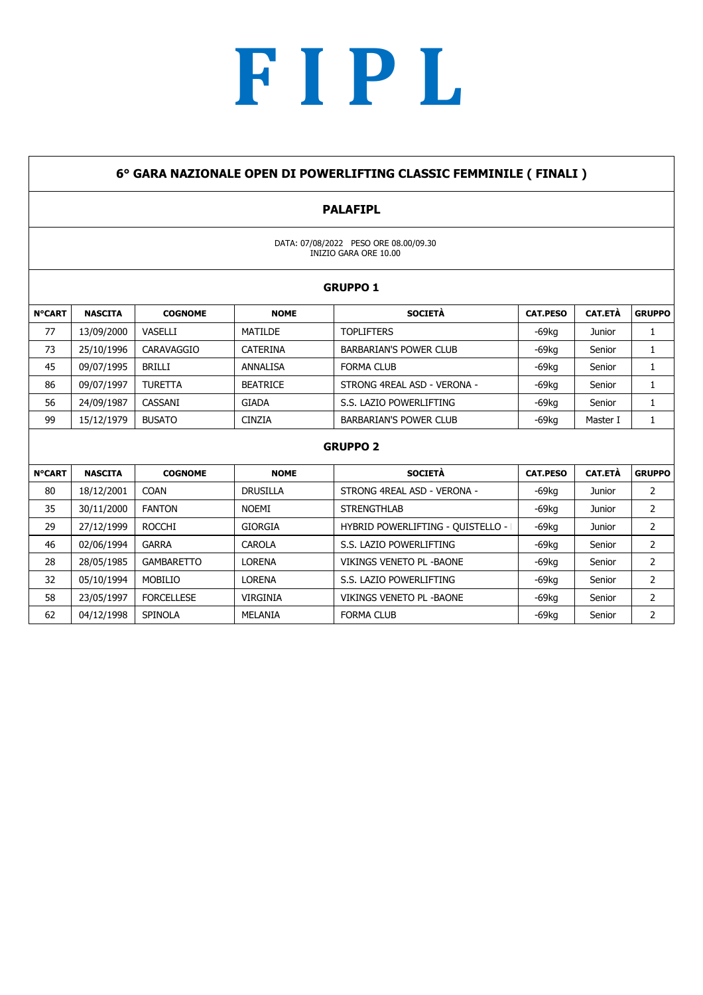#### 6° GARA NAZIONALE OPEN DI POWERLIFTING CLASSIC FEMMINILE ( FINALI )

### PALAFIPL

DATA: 07/08/2022 PESO ORE 08.00/09.30 INIZIO GARA ORE 10.00

|               | <b>GRUPPO 1</b> |                |                 |                               |                 |                |               |  |
|---------------|-----------------|----------------|-----------------|-------------------------------|-----------------|----------------|---------------|--|
| <b>N°CART</b> | <b>NASCITA</b>  | <b>COGNOME</b> | <b>NOME</b>     | <b>SOCIETÀ</b>                | <b>CAT.PESO</b> | <b>CAT.ETÀ</b> | <b>GRUPPO</b> |  |
| 77            | 13/09/2000      | VASELLI        | MATILDE         | <b>TOPLIFTERS</b>             | $-69$ kg        | Junior         |               |  |
| 73            | 25/10/1996      | CARAVAGGIO     | CATERINA        | <b>BARBARIAN'S POWER CLUB</b> | $-69$ kg        | Senior         |               |  |
| 45            | 09/07/1995      | <b>BRILLI</b>  | ANNALISA        | <b>FORMA CLUB</b>             | $-69$ kg        | Senior         |               |  |
| 86            | 09/07/1997      | <b>TURETTA</b> | <b>BEATRICE</b> | STRONG 4REAL ASD - VERONA -   | $-69$ kg        | Senior         |               |  |
| 56            | 24/09/1987      | CASSANI        | <b>GIADA</b>    | S.S. LAZIO POWERLIFTING       | $-69$ kg        | Senior         |               |  |
| 99            | 15/12/1979      | <b>BUSATO</b>  | <b>CINZIA</b>   | <b>BARBARIAN'S POWER CLUB</b> | $-69$ kg        | Master I       |               |  |
|               |                 |                |                 |                               |                 |                |               |  |

| <b>N°CART</b> | <b>NASCITA</b> | <b>COGNOME</b>    | <b>NOME</b>     | <b>SOCIETÀ</b>                    | <b>CAT.PESO</b> | <b>CAT.ETÀ</b> | <b>GRUPPO</b> |
|---------------|----------------|-------------------|-----------------|-----------------------------------|-----------------|----------------|---------------|
| 80            | 18/12/2001     | <b>COAN</b>       | <b>DRUSILLA</b> | STRONG 4REAL ASD - VERONA -       | $-69$ kg        | Junior         |               |
| 35            | 30/11/2000     | <b>FANTON</b>     | <b>NOEMI</b>    | <b>STRENGTHLAB</b>                | $-69$ kg        | Junior         |               |
| 29            | 27/12/1999     | <b>ROCCHI</b>     | <b>GIORGIA</b>  | HYBRID POWERLIFTING - QUISTELLO - | $-69$ kg        | Junior         |               |
| 46            | 02/06/1994     | <b>GARRA</b>      | <b>CAROLA</b>   | S.S. LAZIO POWERLIFTING           | $-69$ kg        | Senior         |               |
| 28            | 28/05/1985     | <b>GAMBARETTO</b> | <b>LORENA</b>   | VIKINGS VENETO PL - BAONE         | $-69$ kg        | Senior         |               |
| 32            | 05/10/1994     | MOBILIO           | LORENA          | S.S. LAZIO POWERLIFTING           | $-69$ kg        | Senior         |               |
| 58            | 23/05/1997     | <b>FORCELLESE</b> | <b>VIRGINIA</b> | VIKINGS VENETO PL - BAONE         | $-69$ kg        | Senior         |               |
| 62            | 04/12/1998     | <b>SPINOLA</b>    | MELANIA         | <b>FORMA CLUB</b>                 | $-69$ kg        | Senior         |               |